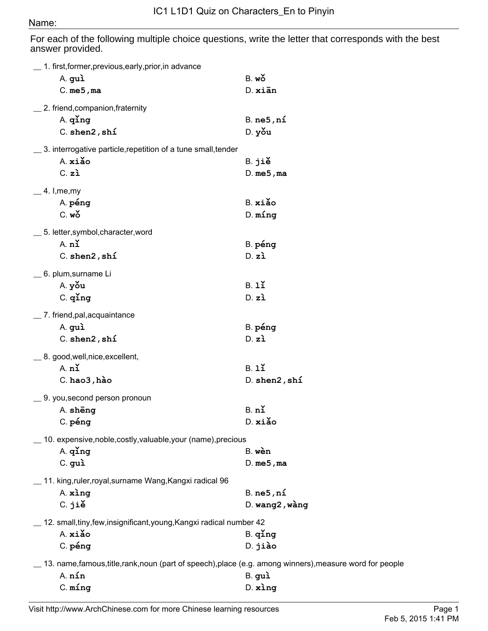## Name:

For each of the following multiple choice questions, write the letter that corresponds with the best answer provided.

| 1. first, former, previous, early, prior, in advance                                                  |                   |
|-------------------------------------------------------------------------------------------------------|-------------------|
| A. guì                                                                                                | $B. w\delta$      |
| $C.$ me $5.$ , ma                                                                                     | D. x iān          |
| _ 2. friend, companion, fraternity                                                                    |                   |
| A. qing                                                                                               | $B.$ ne5, $n1$    |
| $C.$ shen $2$ , shi                                                                                   | $D.$ you          |
| _ 3. interrogative particle, repetition of a tune small, tender                                       |                   |
| A. xiǎo                                                                                               | B. jiě            |
| C. z <sub>i</sub>                                                                                     | $D.$ me $5$ , ma  |
| $=$ 4. I, me, my                                                                                      |                   |
| A. péng                                                                                               | B. xiǎo           |
| $C.$ wo                                                                                               | $D.$ $ming$       |
| _5. letter, symbol, character, word                                                                   |                   |
| A. n <sub>1</sub>                                                                                     | B. péng           |
| $C.$ shen $2$ , shi                                                                                   | D. z <sub>i</sub> |
| 6. plum, surname Li                                                                                   |                   |
| A. you                                                                                                | B.11              |
| $C.$ $qing$                                                                                           | D. zi             |
| _7. friend, pal, acquaintance                                                                         |                   |
| A. gui                                                                                                | B. péng           |
| $C.$ shen $2.$ shi                                                                                    | D. z <sub>i</sub> |
| _8. good, well, nice, excellent,                                                                      |                   |
| $A.$ $n\tilde{1}$                                                                                     | B.11              |
| $C.$ hao $3$ , hao                                                                                    | D. shen2, shi     |
| _ 9. you, second person pronoun                                                                       |                   |
| A. sheng                                                                                              | B.nI              |
| C. péng                                                                                               | D. xiǎo           |
| _ 10. expensive,noble,costly,valuable,your (name),precious                                            |                   |
| A. qing                                                                                               | B. wèn            |
| C. guì                                                                                                | $D.$ me $5$ , ma  |
| 11. king,ruler,royal,surname Wang,Kangxi radical 96                                                   |                   |
| A. xing                                                                                               | $B.$ ne5, $n1$    |
| $C. ji$ ě                                                                                             | D. wang2, wang    |
| __ 12. small,tiny,few,insignificant,young,Kangxi radical number 42                                    |                   |
| A. xiǎo                                                                                               | $B.$ qing         |
| C. péng                                                                                               | D. jiào           |
| _ 13. name,famous,title,rank,noun (part of speech),place (e.g. among winners),measure word for people |                   |
| A. nín                                                                                                | B. guì            |
| $C.$ $ming$                                                                                           | D. xing           |